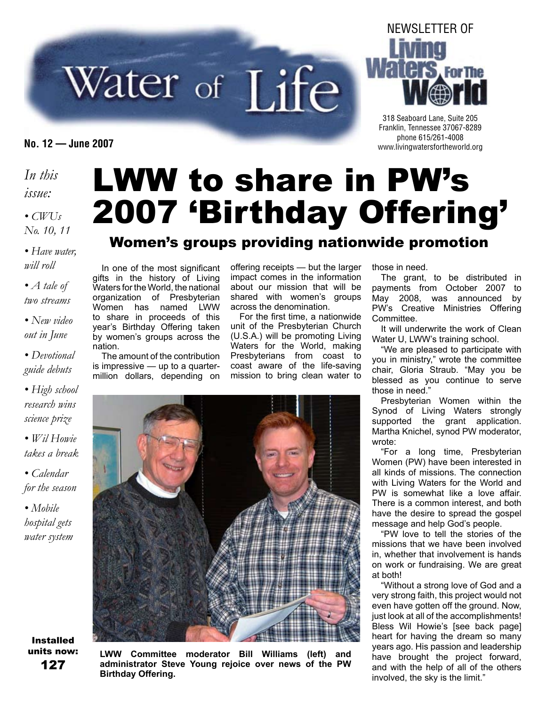# Water of Life

#### *In this issue:*

*• CWUs No. 10, 11*

*• Have water, will roll*

*• A tale of two streams*

*• New video out in June*

*• Devotional guide debuts*

*• High school research wins science prize*

*• Wil Howie takes a break*

*• Calendar for the season*

*• Mobile hospital gets water system*

#### Installed units now: 127

# LWW to share in PW's 2007 'Birthday Offering'

#### Women's groups providing nationwide promotion

In one of the most significant gifts in the history of Living Waters for the World, the national organization of Presbyterian Women has named LWW to share in proceeds of this year's Birthday Offering taken by women's groups across the nation.

The amount of the contribution is impressive — up to a quartermillion dollars, depending on

offering receipts — but the larger impact comes in the information about our mission that will be shared with women's groups across the denomination.

For the first time, a nationwide unit of the Presbyterian Church (U.S.A.) will be promoting Living Waters for the World, making Presbyterians from coast to coast aware of the life-saving mission to bring clean water to

**LWW Committee moderator Bill Williams (left) and administrator Steve Young rejoice over news of the PW Birthday Offering.**

#### those in need.

The grant, to be distributed in payments from October 2007 to May 2008, was announced by PW's Creative Ministries Offering **Committee.** 

It will underwrite the work of Clean Water U, LWW's training school.

"We are pleased to participate with you in ministry," wrote the committee chair, Gloria Straub. "May you be blessed as you continue to serve those in need."

Presbyterian Women within the Synod of Living Waters strongly supported the grant application. Martha Knichel, synod PW moderator, wrote:

"For a long time, Presbyterian Women (PW) have been interested in all kinds of missions. The connection with Living Waters for the World and PW is somewhat like a love affair. There is a common interest, and both have the desire to spread the gospel message and help God's people.

"PW love to tell the stories of the missions that we have been involved in, whether that involvement is hands on work or fundraising. We are great at both!

"Without a strong love of God and a very strong faith, this project would not even have gotten off the ground. Now, just look at all of the accomplishments! Bless Wil Howie's [see back page] heart for having the dream so many years ago. His passion and leadership have brought the project forward, and with the help of all of the others involved, the sky is the limit."





318 Seaboard Lane, Suite 205 Franklin, Tennessee 37067-8289 phone 615/261-4008 **No. 12 — June 2007** www.livingwatersfortheworld.org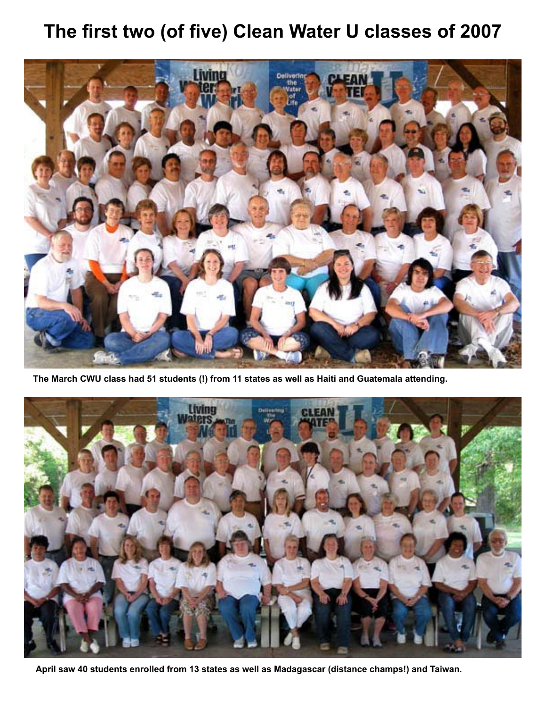# **The first two (of five) Clean Water U classes of 2007**



**The March CWU class had 51 students (!) from 11 states as well as Haiti and Guatemala attending.**



**April saw 40 students enrolled from 13 states as well as Madagascar (distance champs!) and Taiwan.**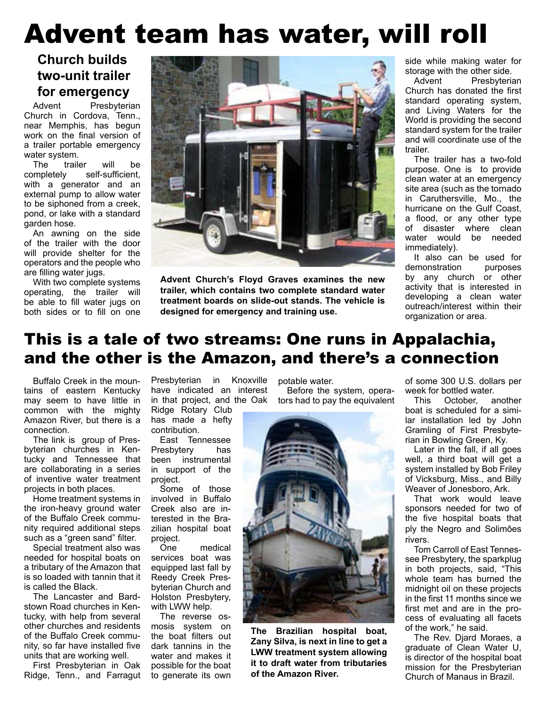# Advent team has water, will roll

#### **Church builds two-unit trailer for emergency**

Advent Presbyterian Church in Cordova, Tenn., near Memphis, has begun work on the final version of a trailer portable emergency water system.

The trailer will be completely self-sufficient, with a generator and an external pump to allow water to be siphoned from a creek, pond, or lake with a standard garden hose.

An awning on the side of the trailer with the door will provide shelter for the operators and the people who are filling water jugs.

With two complete systems operating, the trailer will be able to fill water jugs on both sides or to fill on one



**Advent Church's Floyd Graves examines the new trailer, which contains two complete standard water treatment boards on slide-out stands. The vehicle is designed for emergency and training use.**

side while making water for storage with the other side.

Advent Presbyterian Church has donated the first standard operating system, and Living Waters for the World is providing the second standard system for the trailer and will coordinate use of the trailer.

The trailer has a two-fold purpose. One is to provide clean water at an emergency site area (such as the tornado in Caruthersville, Mo., the hurricane on the Gulf Coast, a flood, or any other type of disaster where clean water would be needed immediately).

It also can be used for demonstration purposes by any church or other activity that is interested in developing a clean water outreach/interest within their organization or area.

## This is a tale of two streams: One runs in Appalachia, and the other is the Amazon, and there's a connection

Buffalo Creek in the mountains of eastern Kentucky may seem to have little in common with the mighty Amazon River, but there is a connection.

The link is group of Presbyterian churches in Kentucky and Tennessee that are collaborating in a series of inventive water treatment projects in both places.

Home treatment systems in the iron-heavy ground water of the Buffalo Creek community required additional steps such as a "green sand" filter.

Special treatment also was needed for hospital boats on a tributary of the Amazon that is so loaded with tannin that it is called the Black.

The Lancaster and Bardstown Road churches in Kentucky, with help from several other churches and residents of the Buffalo Creek community, so far have installed five units that are working well.

First Presbyterian in Oak Ridge, Tenn., and Farragut

Presbyterian in Knoxville have indicated an interest in that project, and the Oak Ridge Rotary Club

has made a hefty contribution.

East Tennessee Presbytery has been instrumental in support of the project.

Some of those involved in Buffalo Creek also are interested in the Brazilian hospital boat project.

One medical services boat was equipped last fall by Reedy Creek Presbyterian Church and Holston Presbytery, with LWW help.

The reverse osmosis system on the boat filters out dark tannins in the water and makes it possible for the boat to generate its own

potable water.

Before the system, operators had to pay the equivalent



**The Brazilian hospital boat, Zany Silva, is next in line to get a LWW treatment system allowing it to draft water from tributaries of the Amazon River.**

of some 300 U.S. dollars per week for bottled water.

This October, another boat is scheduled for a similar installation led by John Gramling of First Presbyterian in Bowling Green, Ky.

Later in the fall, if all goes well, a third boat will get a system installed by Bob Friley of Vicksburg, Miss., and Billy Weaver of Jonesboro, Ark.

That work would leave sponsors needed for two of the five hospital boats that ply the Negro and Solimões rivers.

Tom Carroll of East Tennessee Presbytery, the sparkplug in both projects, said, "This whole team has burned the midnight oil on these projects in the first 11 months since we first met and are in the process of evaluating all facets of the work," he said.

The Rev. Djard Moraes, a graduate of Clean Water U, is director of the hospital boat mission for the Presbyterian Church of Manaus in Brazil.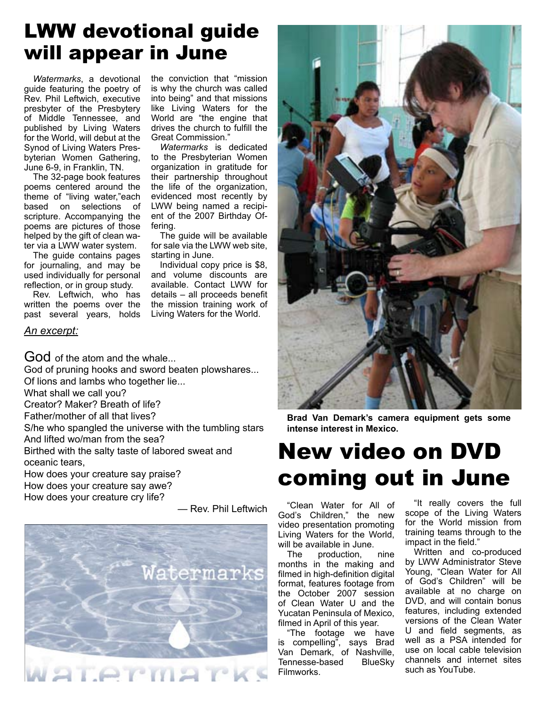# LWW devotional guide will appear in June

*Watermarks*, a devotional guide featuring the poetry of Rev. Phil Leftwich, executive presbyter of the Presbytery of Middle Tennessee, and published by Living Waters for the World, will debut at the Synod of Living Waters Presbyterian Women Gathering, June 6-9, in Franklin, TN.

The 32-page book features poems centered around the theme of "living water,"each based on selections of scripture. Accompanying the poems are pictures of those helped by the gift of clean water via a LWW water system.

The guide contains pages for journaling, and may be used individually for personal reflection, or in group study.

Rev. Leftwich, who has written the poems over the past several years, holds the conviction that "mission is why the church was called into being" and that missions like Living Waters for the World are "the engine that drives the church to fulfill the Great Commission."

*Watermarks* is dedicated to the Presbyterian Women organization in gratitude for their partnership throughout the life of the organization, evidenced most recently by LWW being named a recipient of the 2007 Birthday Offering.

The guide will be available for sale via the LWW web site, starting in June.

Individual copy price is \$8, and volume discounts are available. Contact LWW for details – all proceeds benefit the mission training work of Living Waters for the World.

#### *An excerpt:*

God of the atom and the whale...

God of pruning hooks and sword beaten plowshares... Of lions and lambs who together lie...

What shall we call you?

Creator? Maker? Breath of life?

Father/mother of all that lives?

S/he who spangled the universe with the tumbling stars And lifted wo/man from the sea?

Birthed with the salty taste of labored sweat and oceanic tears,

How does your creature say praise?

How does your creature say awe?

How does your creature cry life?

— Rev. Phil Leftwich





**Brad Van Demark's camera equipment gets some intense interest in Mexico.**

# New video on DVD coming out in June

"Clean Water for All of God's Children," the new video presentation promoting Living Waters for the World, will be available in June.

The production, nine months in the making and filmed in high-definition digital format, features footage from the October 2007 session of Clean Water U and the Yucatan Peninsula of Mexico, filmed in April of this year.

"The footage we have is compelling", says Brad Van Demark, of Nashville, Tennesse-based BlueSky Filmworks.

"It really covers the full scope of the Living Waters for the World mission from training teams through to the impact in the field."

Written and co-produced by LWW Administrator Steve Young, "Clean Water for All of God's Children" will be available at no charge on DVD, and will contain bonus features, including extended versions of the Clean Water U and field segments, as well as a PSA intended for use on local cable television channels and internet sites such as YouTube.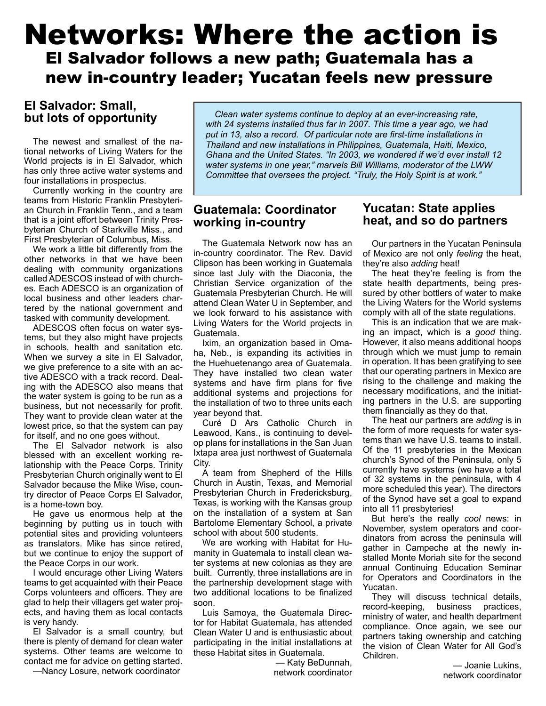# Networks: Where the action is El Salvador follows a new path; Guatemala has a new in-country leader; Yucatan feels new pressure

#### **El Salvador: Small, but lots of opportunity**

The newest and smallest of the national networks of Living Waters for the World projects is in El Salvador, which has only three active water systems and four installations in prospectus.

Currently working in the country are teams from Historic Franklin Presbyterian Church in Franklin Tenn., and a team that is a joint effort between Trinity Presbyterian Church of Starkville Miss., and First Presbyterian of Columbus, Miss.

We work a little bit differently from the other networks in that we have been dealing with community organizations called ADESCOS instead of with churches. Each ADESCO is an organization of local business and other leaders chartered by the national government and tasked with community development.

ADESCOS often focus on water systems, but they also might have projects in schools, health and sanitation etc. When we survey a site in El Salvador, we give preference to a site with an active ADESCO with a track record. Dealing with the ADESCO also means that the water system is going to be run as a business, but not necessarily for profit. They want to provide clean water at the lowest price, so that the system can pay for itself, and no one goes without.

The El Salvador network is also blessed with an excellent working relationship with the Peace Corps. Trinity Presbyterian Church originally went to El Salvador because the Mike Wise, country director of Peace Corps El Salvador, is a home-town boy.

He gave us enormous help at the beginning by putting us in touch with potential sites and providing volunteers as translators. Mike has since retired, but we continue to enjoy the support of the Peace Corps in our work.

I would encurage other Living Waters teams to get acquainted with their Peace Corps volunteers and officers. They are glad to help their villagers get water projects, and having them as local contacts is very handy.

El Salvador is a small country, but there is plenty of demand for clean water systems. Other teams are welcome to contact me for advice on getting started.

—Nancy Losure, network coordinator

*Clean water systems continue to deploy at an ever-increasing rate, with 24 systems installed thus far in 2007. This time a year ago, we had put in 13, also a record. Of particular note are first-time installations in Thailand and new installations in Philippines, Guatemala, Haiti, Mexico, Ghana and the United States. "In 2003, we wondered if we'd ever install 12 water systems in one year," marvels Bill Williams, moderator of the LWW Committee that oversees the project. "Truly, the Holy Spirit is at work."*

#### **Guatemala: Coordinator working in-country**

The Guatemala Network now has an in-country coordinator. The Rev. David Clipson has been working in Guatemala since last July with the Diaconia, the Christian Service organization of the Guatemala Presbyterian Church. He will attend Clean Water U in September, and we look forward to his assistance with Living Waters for the World projects in Guatemala.

Ixim, an organization based in Omaha, Neb., is expanding its activities in the Huehuetenango area of Guatemala. They have installed two clean water systems and have firm plans for five additional systems and projections for the installation of two to three units each year beyond that.

Curé D Ars Catholic Church in Leawood, Kans., is continuing to develop plans for installations in the San Juan Ixtapa area just northwest of Guatemala City.

A team from Shepherd of the Hills Church in Austin, Texas, and Memorial Presbyterian Church in Fredericksburg, Texas, is working with the Kansas group on the installation of a system at San Bartolome Elementary School, a private school with about 500 students.

We are working with Habitat for Humanity in Guatemala to install clean water systems at new colonias as they are built. Currently, three installations are in the partnership development stage with two additional locations to be finalized soon.

Luis Samoya, the Guatemala Director for Habitat Guatemala, has attended Clean Water U and is enthusiastic about participating in the initial installations at these Habitat sites in Guatemala.

> — Katy BeDunnah, network coordinator

#### **Yucatan: State applies heat, and so do partners**

Our partners in the Yucatan Peninsula of Mexico are not only *feeling* the heat, they're also *adding* heat!

The heat they're feeling is from the state health departments, being pressured by other bottlers of water to make the Living Waters for the World systems comply with all of the state regulations.

This is an indication that we are making an impact, which is a *good* thing. However, it also means additional hoops through which we must jump to remain in operation. It has been gratifying to see that our operating partners in Mexico are rising to the challenge and making the necessary modifications, and the initiating partners in the U.S. are supporting them financially as they do that.

The heat our partners are *adding* is in the form of more requests for water systems than we have U.S. teams to install. Of the 11 presbyteries in the Mexican church's Synod of the Peninsula, only 5 currently have systems (we have a total of 32 systems in the peninsula, with 4 more scheduled this year). The directors of the Synod have set a goal to expand into all 11 presbyteries!

But here's the really *cool* news: in November, system operators and coordinators from across the peninsula will gather in Campeche at the newly installed Monte Moriah site for the second annual Continuing Education Seminar for Operators and Coordinators in the Yucatan.

They will discuss technical details, record-keeping, business practices, ministry of water, and health department compliance. Once again, we see our partners taking ownership and catching the vision of Clean Water for All God's Children.

> — Joanie Lukins, network coordinator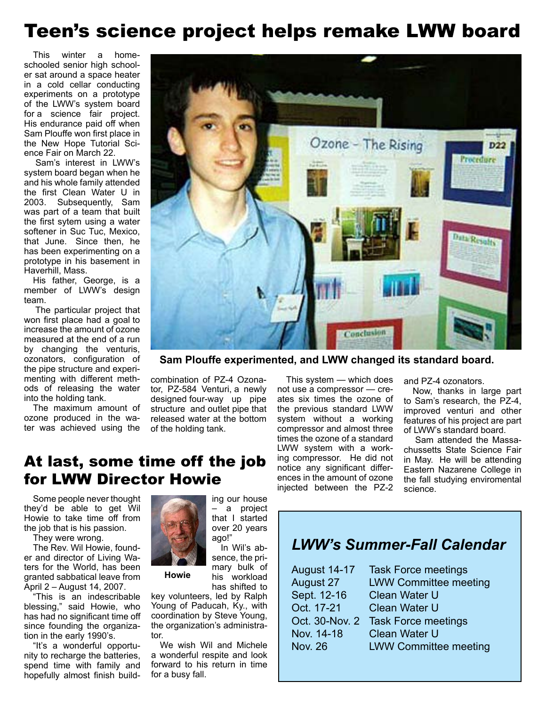# Teen's science project helps remake LWW board

This winter a homeschooled senior high schooler sat around a space heater in a cold cellar conducting experiments on a prototype of the LWW's system board for a science fair project. His endurance paid off when Sam Plouffe won first place in the New Hope Tutorial Science Fair on March 22.

Sam's interest in LWW's system board began when he and his whole family attended the first Clean Water U in 2003. Subsequently, Sam was part of a team that built the first sytem using a water softener in Suc Tuc, Mexico, that June. Since then, he has been experimenting on a prototype in his basement in Haverhill, Mass.

His father, George, is a member of LWW's design team.

The particular project that won first place had a goal to increase the amount of ozone measured at the end of a run by changing the venturis, ozonators, configuration of the pipe structure and experimenting with different methods of releasing the water into the holding tank.   

The maximum amount of ozone produced in the water was achieved using the



**Sam Plouffe experimented, and LWW changed its standard board.**

combination of PZ-4 Ozonator, PZ-584 Venturi, a newly designed four-way up pipe structure  and outlet pipe that released water at the bottom of the holding tank.

> ing our house – a project that I started over 20 years

In Wil's absence, the primary bulk of his workload has shifted to

This system — which does not use a compressor — creates six times the ozone of the previous standard LWW system without a working compressor and almost three times the ozone of a standard LWW system with a working compressor. He did not notice any significant differences in the amount of ozone injected between the PZ-2 and PZ-4 ozonators.

Now, thanks in large part to Sam's research, the PZ-4, improved venturi and other features of his project are part of LWW's standard board.

Sam attended the Massachussetts State Science Fair in May. He will be attending Eastern Nazarene College in the fall studying enviromental science.

## At last, some time off the job for LWW Director Howie

Some people never thought they'd be able to get Wil Howie to take time off from the job that is his passion.

They were wrong.

The Rev. Wil Howie, founder and director of Living Waters for the World, has been granted sabbatical leave from April 2 – August 14, 2007.

"This is an indescribable blessing," said Howie, who has had no significant time off since founding the organization in the early 1990's.

"It's a wonderful opportunity to recharge the batteries, spend time with family and hopefully almost finish build-



**Howie**

key volunteers, led by Ralph Young of Paducah, Ky., with coordination by Steve Young, the organization's administrator.

ago!"

We wish Wil and Michele a wonderful respite and look forward to his return in time for a busy fall.

## *LWW's Summer-Fall Calendar*

| <b>August 14-17</b> | <b>Task Force meetings</b>   |
|---------------------|------------------------------|
| August 27           | <b>LWW Committee meeting</b> |
| Sept. 12-16         | <b>Clean Water U</b>         |
| Oct. 17-21          | <b>Clean Water U</b>         |
| Oct. 30-Nov. 2      | <b>Task Force meetings</b>   |
| Nov. 14-18          | <b>Clean Water U</b>         |
| <b>Nov. 26</b>      | <b>LWW Committee meeting</b> |
|                     |                              |